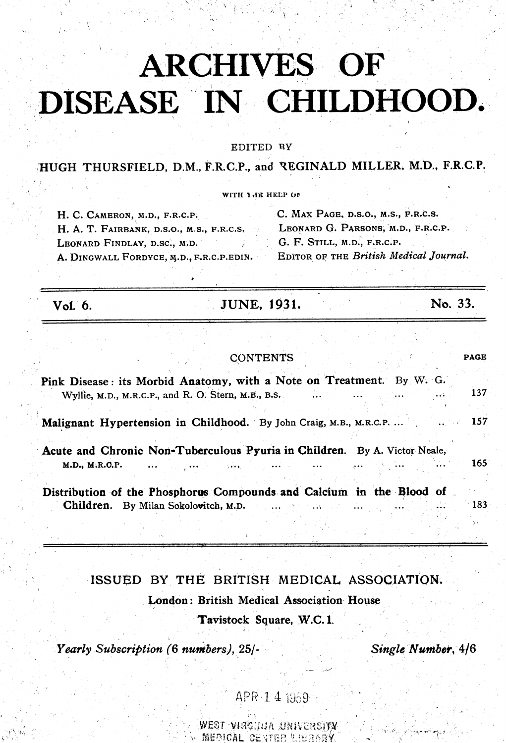# **ARCHIVES OF** DISEASE IN CHILDHOOD.

EDITED BY

HUGH THURSFIELD, D.M., F.R.C.P., and REGINALD MILLER. M.D., F.R.C.P.

WITH 1 HE HELP OF

| H. C. CAMERON, M.D., F.R.C.P.             | C. MAX PAGE, D.S.O., M.S., F.R.C.S.    |  |  |  |
|-------------------------------------------|----------------------------------------|--|--|--|
| H. A. T. FAIRBANK, D.S.O., M.S., F.R.C.S. | LEONARD G. PARSONS, M.D., F.R.C.P.     |  |  |  |
| LEONARD FINDLAY, D.SC., M.D.              | G. F. STILL, M.D., F.R.C.P.            |  |  |  |
| A. DINGWALL FORDYCE, M.D., F.R.C.P.EDIN.  | EDITOR OF THE British Medical Journal. |  |  |  |

Vol. 6.

**JUNE, 1931.** 

No. 33.

|                                                                                             |                                                     | <b>CONTENTS</b> |              |                                              | <b>PAGE</b>   |
|---------------------------------------------------------------------------------------------|-----------------------------------------------------|-----------------|--------------|----------------------------------------------|---------------|
| Pink Disease: its Morbid Anatomy, with a Note on Treatment. By W. G.                        | Wyllie, M.D., M.R.C.P., and R. O. Stern, M.B., B.S. |                 |              |                                              | 137           |
| Malignant Hypertension in Childhood. By John Craig, M.B., M.R.C.P.  157                     |                                                     |                 |              |                                              |               |
| Acute and Chronic Non-Tuberculous Pyuria in Children. By A. Victor Neale,<br>M.D., M.R.O.P. | <b>Castle Committee Committee</b>                   | <b>Change</b>   |              |                                              | $165^{\circ}$ |
| Distribution of the Phosphorus Compounds and Calcium in the Blood of                        | Children. By Milan Sokolovitch, M.D.                |                 | $\sim 1.3$ . | <b>Sales Command Command Command Command</b> | 183           |

# ISSUED BY THE BRITISH MEDICAL ASSOCIATION. London: British Medical Association House

Tavistock Square, W.C.1.

Yearly Subscription (6 numbers), 25/-

Single Number, 4/6

## APR 1 4 1959

WEST VIRGUIA UNIVERSITY MEDICAL CENTER U